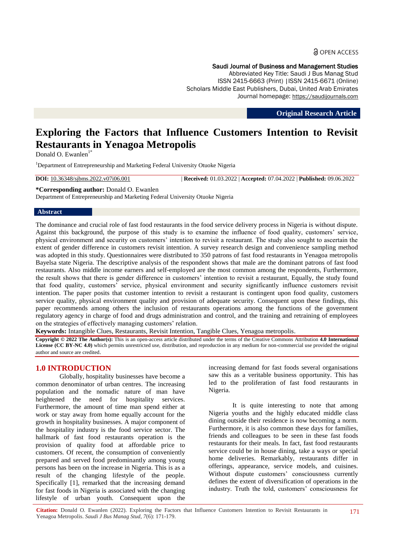#### Saudi Journal of Business and Management Studies

Abbreviated Key Title: Saudi J Bus Manag Stud ISSN 2415-6663 (Print) |ISSN 2415-6671 (Online) Scholars Middle East Publishers, Dubai, United Arab Emirates Journal homepage: https://saudijournals.com

**Original Research Article**

# **Exploring the Factors that Influence Customers Intention to Revisit Restaurants in Yenagoa Metropolis**

Donald O. Ewanlen $<sup>1</sup>$ </sup>

<sup>1</sup>Department of Entrepreneurship and Marketing Federal University Otuoke Nigeria

**DOI:** 10.36348/sjbms.2022.v07i06.001 | **Received:** 01.03.2022 | **Accepted:** 07.04.2022 | **Published:** 09.06.2022

**\*Corresponding author:** Donald O. Ewanlen

Department of Entrepreneurship and Marketing Federal University Otuoke Nigeria

#### **Abstract**

The dominance and crucial role of fast food restaurants in the food service delivery process in Nigeria is without dispute. Against this background, the purpose of this study is to examine the influence of food quality, customers" service, physical environment and security on customers" intention to revisit a restaurant. The study also sought to ascertain the extent of gender difference in customers revisit intention. A survey research design and convenience sampling method was adopted in this study. Questionnaires were distributed to 350 patrons of fast food restaurants in Yenagoa metropolis Bayelsa state Nigeria. The descriptive analysis of the respondent shows that male are the dominant patrons of fast food restaurants. Also middle income earners and self-employed are the most common among the respondents, Furthermore, the result shows that there is gender difference in customers" intention to revisit a restaurant, Equally, the study found that food quality, customers" service, physical environment and security significantly influence customers revisit intention. The paper posits that customer intention to revisit a restaurant is contingent upon food quality, customers service quality, physical environment quality and provision of adequate security. Consequent upon these findings, this paper recommends among others the inclusion of restaurants operations among the functions of the government regulatory agency in charge of food and drugs administration and control, and the training and retraining of employees on the strategies of effectively managing customers' relation.

**Keywords:** Intangible Clues, Restaurants, Revisit Intention, Tangible Clues, Yenagoa metropolis.

**Copyright © 2022 The Author(s):** This is an open-access article distributed under the terms of the Creative Commons Attribution **4.0 International License (CC BY-NC 4.0)** which permits unrestricted use, distribution, and reproduction in any medium for non-commercial use provided the original author and source are credited.

# **1.0 INTRODUCTION**

Globally, hospitality businesses have become a common denominator of urban centres. The increasing population and the nomadic nature of man have heightened the need for hospitality services. Furthermore, the amount of time man spend either at work or stay away from home equally account for the growth in hospitality businesses. A major component of the hospitality industry is the food service sector. The hallmark of fast food restaurants operation is the provision of quality food at affordable price to customers. Of recent, the consumption of conveniently prepared and served food predominantly among young persons has been on the increase in Nigeria. This is as a result of the changing lifestyle of the people. Specifically [1], remarked that the increasing demand for fast foods in Nigeria is associated with the changing lifestyle of urban youth. Consequent upon the

increasing demand for fast foods several organisations saw this as a veritable business opportunity. This has led to the proliferation of fast food restaurants in Nigeria.

It is quite interesting to note that among Nigeria youths and the highly educated middle class dining outside their residence is now becoming a norm. Furthermore, it is also common these days for families, friends and colleagues to be seen in these fast foods restaurants for their meals. In fact, fast food restaurants service could be in house dining, take a ways or special home deliveries. Remarkably, restaurants differ in offerings, appearance, service models, and cuisines. Without dispute customers' consciousness currently defines the extent of diversification of operations in the industry. Truth the told, customers' consciousness for

**Citation:** Donald O. Ewanlen (2022). Exploring the Factors that Influence Customers Intention to Revisit Restaurants in Yenagoa Metropolis. *Saudi J Bus Manag Stud, 7*(6): 171-179.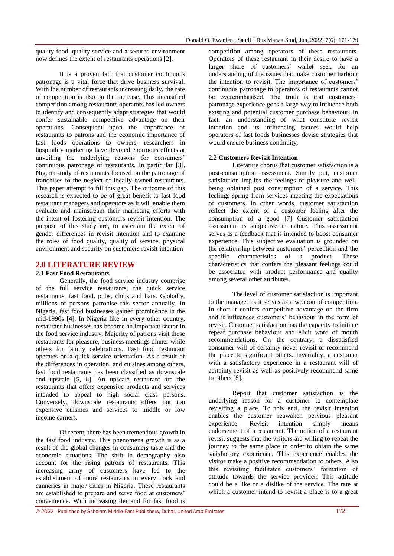quality food, quality service and a secured environment now defines the extent of restaurants operations [2].

It is a proven fact that customer continuous patronage is a vital force that drive business survival. With the number of restaurants increasing daily, the rate of competition is also on the increase. This intensified competition among restaurants operators has led owners to identify and consequently adapt strategies that would confer sustainable competitive advantage on their operations. Consequent upon the importance of restaurants to patrons and the economic importance of fast foods operations to owners, researchers in hospitality marketing have devoted enormous effects at unveiling the underlying reasons for consumers' continuous patronage of restaurants. In particular [3], Nigeria study of restaurants focused on the patronage of franchises to the neglect of locally owned restaurants. This paper attempt to fill this gap. The outcome of this research is expected to be of great benefit to fast food restaurant managers and operators as it will enable them evaluate and mainstream their marketing efforts with the intent of fostering customers revisit intention. The purpose of this study are, to ascertain the extent of gender differences in revisit intention and to examine the roles of food quality, quality of service, physical environment and security on customers revisit intention

## **2.0 LITERATURE REVIEW**

## **2.1 Fast Food Restaurants**

Generally, the food service industry comprise of the full service restaurants, the quick service restaurants, fast food, pubs, clubs and bars. Globally, millions of persons patronise this sector annually. In Nigeria, fast food businesses gained prominence in the mid-1990s [4]. In Nigeria like in every other country, restaurant businesses has become an important sector in the food service industry. Majority of patrons visit these restaurants for pleasure, business meetings dinner while others for family celebrations. Fast food restaurant operates on a quick service orientation. As a result of the differences in operation, and cuisines among others, fast food restaurants has been classified as downscale and upscale [5, 6]. An upscale restaurant are the restaurants that offers expensive products and services intended to appeal to high social class persons. Conversely, downscale restaurants offers not too expensive cuisines and services to middle or low income earners.

Of recent, there has been tremendous growth in the fast food industry. This phenomena growth is as a result of the global changes in consumers taste and the economic situations. The shift in demography also account for the rising patrons of restaurants. This increasing army of customers have led to the establishment of more restaurants in every nock and canneries in major cities in Nigeria. These restaurants are established to prepare and serve food at customers' convenience. With increasing demand for fast food is

competition among operators of these restaurants. Operators of these restaurant in their desire to have a larger share of customers" wallet seek for an understanding of the issues that make customer harbour the intention to revisit. The importance of customers' continuous patronage to operators of restaurants cannot be overemphasised. The truth is that customers' patronage experience goes a large way to influence both existing and potential customer purchase behaviour. In fact, an understanding of what constitute revisit intention and its influencing factors would help operators of fast foods businesses devise strategies that would ensure business continuity.

#### **2.2 Customers Revisit Intention**

Literature chorus that customer satisfaction is a post-consumption assessment. Simply put, customer satisfaction implies the feelings of pleasure and wellbeing obtained post consumption of a service. This feelings spring from services meeting the expectations of customers. In other words, customer satisfaction reflect the extent of a customer feeling after the consumption of a good [7] Customer satisfaction assessment is subjective in nature. This assessment serves as a feedback that is intended to boost consumer experience. This subjective evaluation is grounded on the relationship between customers' perception and the specific characteristics of a product. These characteristics that confers the pleasant feelings could be associated with product performance and quality among several other attributes.

The level of customer satisfaction is important to the manager as it serves as a weapon of competition. In short it confers competitive advantage on the firm and it influences customers' behaviour in the form of revisit. Customer satisfaction has the capacity to initiate repeat purchase behaviour and elicit word of mouth recommendations. On the contrary, a dissatisfied consumer will of certainty never revisit or recommend the place to significant others. Invariably, a customer with a satisfactory experience in a restaurant will of certainty revisit as well as positively recommend same to others [8].

Report that customer satisfaction is the underlying reason for a customer to contemplate revisiting a place. To this end, the revisit intention enables the customer reawaken pervious pleasant experience. Revisit intention simply means endorsement of a restaurant. The notion of a restaurant revisit suggests that the visitors are willing to repeat the journey to the same place in order to obtain the same satisfactory experience. This experience enables the visitor make a positive recommendation to others. Also this revisiting facilitates customers" formation of attitude towards the service provider. This attitude could be a like or a dislike of the service. The rate at which a customer intend to revisit a place is to a great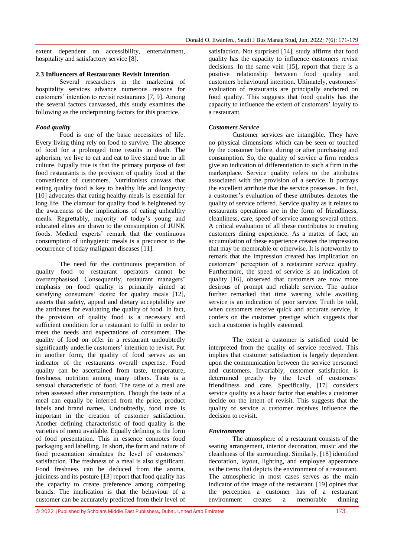extent dependent on accessibility, entertainment, hospitality and satisfactory service [8].

### **2.3 Influencers of Restaurants Revisit Intention**

Several researchers in the marketing of hospitality services advance numerous reasons for customers' intention to revisit restaurants [7, 9]. Among the several factors canvassed, this study examines the following as the underpinning factors for this practice.

## *Food quality*

Food is one of the basic necessities of life. Every living thing rely on food to survive. The absence of food for a prolonged time results in death. The aphorism, we live to eat and eat to live stand true in all culture. Equally true is that the primary purpose of fast food restaurants is the provision of quality food at the convenience of customers. Nutritionists canvass that eating quality food is key to healthy life and longevity [10] advocates that eating healthy meals is essential for long life. The clamour for quality food is heightened by the awareness of the implications of eating unhealthy meals. Regrettably, majority of today"s young and educated elites are drawn to the consumption of JUNK foods. Medical experts' remark that the continuous consumption of unhygienic meals is a precursor to the occurrence of today malignant diseases [11].

The need for the continuous preparation of quality food to restaurant operators cannot be overemphasised. Consequently, restaurant managers' emphasis on food quality is primarily aimed at satisfying consumers' desire for quality meals [12], asserts that safety, appeal and dietary acceptability are the attributes for evaluating the quality of food. In fact, the provision of quality food is a necessary and sufficient condition for a restaurant to fulfil in order to meet the needs and expectations of consumers. The quality of food on offer in a restaurant undoubtedly significantly underlie customers' intention to revisit. Put in another form, the quality of food serves as an indicator of the restaurants overall expertise. Food quality can be ascertained from taste, temperature, freshness, nutrition among many others. Taste is a sensual characteristic of food. The taste of a meal are often assessed after consumption. Though the taste of a meal can equally be inferred from the price, product labels and brand names. Undoubtedly, food taste is important in the creation of customer satisfaction. Another defining characteristic of food quality is the varieties of menu available. Equally defining is the form of food presentation. This in essence connotes food packaging and labelling. In short, the form and nature of food presentation simulates the level of customers' satisfaction. The freshness of a meal is also significant. Food freshness can be deduced from the aroma, juiciness and its posture [13] report that food quality has the capacity to create preference among competing brands. The implication is that the behaviour of a customer can be accurately predicted from their level of

satisfaction. Not surprised [14], study affirms that food quality has the capacity to influence customers revisit decisions. In the same vein [15], report that there is a positive relationship between food quality and customers behavioural intention. Ultimately, customers" evaluation of restaurants are principally anchored on food quality. This suggests that food quality has the capacity to influence the extent of customers' loyalty to a restaurant.

## *Customers Service*

Customer services are intangible. They have no physical dimensions which can be seen or touched by the consumer before, during or after purchasing and consumption. So, the quality of service a firm renders give an indication of differentiation to such a firm in the marketplace. Service quality refers to the attributes associated with the provision of a service. It portrays the excellent attribute that the service possesses. In fact, a customer"s evaluation of these attributes denotes the quality of service offered. Service quality as it relates to restaurants operations are in the form of friendliness, cleanliness, care, speed of service among several others. A critical evaluation of all these contributes to creating customers dining experience. As a matter of fact, an accumulation of these experience creates the impression that may be memorable or otherwise. It is noteworthy to remark that the impression created has implication on customers" perception of a restaurant service quality. Furthermore, the speed of service is an indication of quality [16], observed that customers are now more desirous of prompt and reliable service. The author further remarked that time wasting while awaiting service is an indication of poor service. Truth be told, when customers receive quick and accurate service, it confers on the customer prestige which suggests that such a customer is highly esteemed.

The extent a customer is satisfied could be interpreted from the quality of service received. This implies that customer satisfaction is largely dependent upon the communication between the service personnel and customers. Invariably, customer satisfaction is determined greatly by the level of customers' friendliness and care. Specifically, [17] considers service quality as a basic factor that enables a customer decide on the intent of revisit. This suggests that the quality of service a customer receives influence the decision to revisit.

#### *Environment*

The atmosphere of a restaurant consists of the seating arrangement, interior decoration, music and the cleanliness of the surrounding. Similarly, [18] identified decoration, layout, lighting, and employee appearance as the items that depicts the environment of a restaurant. The atmospheric in most cases serves as the main indicator of the image of the restaurant. [19] opines that the perception a customer has of a restaurant environment creates a memorable dinning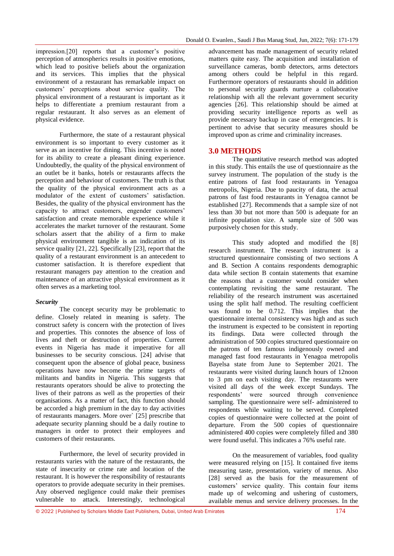impression.[20] reports that a customer's positive perception of atmospherics results in positive emotions, which lead to positive beliefs about the organization and its services. This implies that the physical environment of a restaurant has remarkable impact on customers" perceptions about service quality. The physical environment of a restaurant is important as it helps to differentiate a premium restaurant from a regular restaurant. It also serves as an element of physical evidence.

Furthermore, the state of a restaurant physical environment is so important to every customer as it serve as an incentive for dining. This incentive is noted for its ability to create a pleasant dining experience. Undoubtedly, the quality of the physical environment of an outlet be it banks, hotels or restaurants affects the perception and behaviour of customers. The truth is that the quality of the physical environment acts as a modulator of the extent of customers' satisfaction. Besides, the quality of the physical environment has the capacity to attract customers, engender customers' satisfaction and create memorable experience while it accelerates the market turnover of the restaurant. Some scholars assert that the ability of a firm to make physical environment tangible is an indication of its service quality [21, 22]. Specifically [23], report that the quality of a restaurant environment is an antecedent to customer satisfaction. It is therefore expedient that restaurant managers pay attention to the creation and maintenance of an attractive physical environment as it often serves as a marketing tool.

## *Security*

The concept security may be problematic to define. Closely related in meaning is safety. The construct safety is concern with the protection of lives and properties. This connotes the absence of loss of lives and theft or destruction of properties. Current events in Nigeria has made it imperative for all businesses to be security conscious. [24] advise that consequent upon the absence of global peace, business operations have now become the prime targets of militants and bandits in Nigeria. This suggests that restaurants operators should be alive to protecting the lives of their patrons as well as the properties of their organisations. As a matter of fact, this function should be accorded a high premium in the day to day activities of restaurants managers. More over` [25] prescribe that adequate security planning should be a daily routine to managers in order to protect their employees and customers of their restaurants.

Furthermore, the level of security provided in restaurants varies with the nature of the restaurants, the state of insecurity or crime rate and location of the restaurant. It is however the responsibility of restaurants operators to provide adequate security in their premises. Any observed negligence could make their premises vulnerable to attack. Interestingly, technological

advancement has made management of security related matters quite easy. The acquisition and installation of surveillance cameras, bomb detectors, arms detectors among others could be helpful in this regard. Furthermore operators of restaurants should in addition to personal security guards nurture a collaborative relationship with all the relevant government security agencies [26]. This relationship should be aimed at providing security intelligence reports as well as provide necessary backup in case of emergencies. It is pertinent to advise that security measures should be improved upon as crime and criminality increases.

# **3.0 METHODS**

The quantitative research method was adopted in this study. This entails the use of questionnaire as the survey instrument. The population of the study is the entire patrons of fast food restaurants in Yenagoa metropolis, Nigeria. Due to paucity of data, the actual patrons of fast food restaurants in Yenagoa cannot be established [27]. Recommends that a sample size of not less than 30 but not more than 500 is adequate for an infinite population size. A sample size of 500 was purposively chosen for this study.

This study adopted and modified the [8] research instrument. The research instrument is a structured questionnaire consisting of two sections A and B. Section A contains respondents demographic data while section B contain statements that examine the reasons that a customer would consider when contemplating revisiting the same restaurant. The reliability of the research instrument was ascertained using the split half method. The resulting coefficient was found to be 0.712. This implies that the questionnaire internal consistency was high and as such the instrument is expected to be consistent in reporting its findings. Data were collected through the administration of 500 copies structured questionnaire on the patrons of ten famous indigenously owned and managed fast food restaurants in Yenagoa metropolis Bayelsa state from June to September 2021. The restaurants were visited during launch hours of 12noon to 3 pm on each visiting day. The restaurants were visited all days of the week except Sundays. The respondents" were sourced through convenience sampling. The questionnaire were self- administered to respondents while waiting to be served. Completed copies of questionnaire were collected at the point of departure. From the 500 copies of questionnaire administered 400 copies were completely filled and 380 were found useful. This indicates a 76% useful rate.

On the measurement of variables, food quality were measured relying on [15]. It contained five items measuring taste, presentation, variety of menus. Also [28] served as the basis for the measurement of customers" service quality. This contain four items made up of welcoming and ushering of customers, available menus and service delivery processes. In the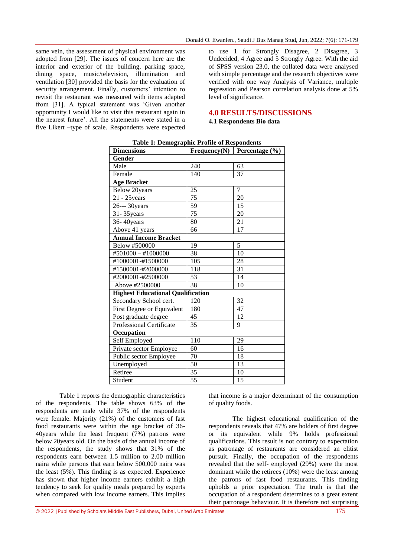same vein, the assessment of physical environment was adopted from [29]. The issues of concern here are the interior and exterior of the building, parking space, dining space, music/television, illumination and ventilation [30] provided the basis for the evaluation of security arrangement. Finally, customers' intention to revisit the restaurant was measured with items adapted from [31]. A typical statement was "Given another opportunity I would like to visit this restaurant again in the nearest future". All the statements were stated in a five Likert –type of scale. Respondents were expected

to use 1 for Strongly Disagree, 2 Disagree, 3 Undecided, 4 Agree and 5 Strongly Agree. With the aid of SPSS version 23.0, the collated data were analysed with simple percentage and the research objectives were verified with one way Analysis of Variance, multiple regression and Pearson correlation analysis done at 5% level of significance.

## **4.0 RESULTS/DISCUSSIONS**

## **4.1 Respondents Bio data**

| <b>Dimensions</b>                        | Frequency $(N)$ | Percentage (%)  |
|------------------------------------------|-----------------|-----------------|
| <b>Gender</b>                            |                 |                 |
| Male                                     | 240             | 63              |
| Female                                   | 140             | 37              |
| <b>Age Bracket</b>                       |                 |                 |
| Below 20years                            | 25              | $\overline{7}$  |
| $21 - 25$ years                          | 75              | 20              |
| 26--- 30years                            | 59              | 15              |
| 31-35 years                              | 75              | 20              |
| 36-40years                               | 80              | 21              |
| Above 41 years                           | 66              | 17              |
| <b>Annual Income Bracket</b>             |                 |                 |
| Below #500000                            | 19              | 5               |
| #501000 - #1000000                       | 38              | 10              |
| #1000001-#1500000                        | 105             | 28              |
| #1500001-#2000000                        | 118             | $\overline{31}$ |
| #2000001-#2500000                        | 53              | 14              |
| Above #2500000                           | $\overline{38}$ | 10              |
| <b>Highest Educational Qualification</b> |                 |                 |
| Secondary School cert.                   | 120             | 32              |
| First Degree or Equivalent               | 180             | 47              |
| Post graduate degree                     | 45              | 12              |
| <b>Professional Certificate</b>          | 35              | 9               |
| Occupation                               |                 |                 |
| Self Employed                            | 110             | 29              |
| Private sector Employee                  | 60              | 16              |
| Public sector Employee                   | 70              | 18              |
| Unemployed                               | 50              | 13              |
| Retiree                                  | 35              | 10              |
| Student                                  | 55              | 15              |

#### **Table 1: Demographic Profile of Respondents**

Table 1 reports the demographic characteristics of the respondents. The table shows 63% of the respondents are male while 37% of the respondents were female. Majority (21%) of the customers of fast food restaurants were within the age bracket of 36- 40 years while the least frequent  $(7%)$  patrons were below 20years old. On the basis of the annual income of the respondents, the study shows that 31% of the respondents earn between 1.5 million to 2.00 million naira while persons that earn below 500,000 naira was the least (5%). This finding is as expected. Experience has shown that higher income earners exhibit a high tendency to seek for quality meals prepared by experts when compared with low income earners. This implies

that income is a major determinant of the consumption of quality foods.

The highest educational qualification of the respondents reveals that 47% are holders of first degree or its equivalent while 9% holds professional qualifications. This result is not contrary to expectation as patronage of restaurants are considered an elitist pursuit. Finally, the occupation of the respondents revealed that the self- employed (29%) were the most dominant while the retirees (10%) were the least among the patrons of fast food restaurants. This finding upholds a prior expectation. The truth is that the occupation of a respondent determines to a great extent their patronage behaviour. It is therefore not surprising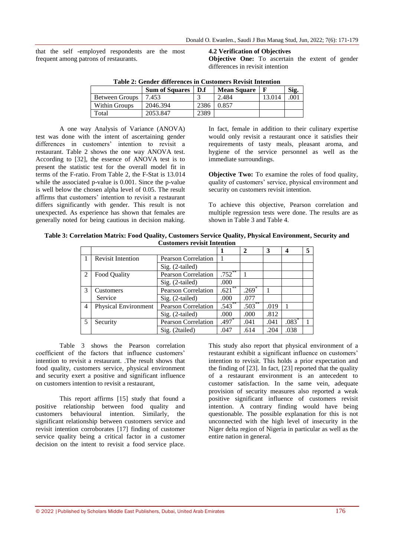that the self -employed respondents are the most frequent among patrons of restaurants.

**4.2 Verification of Objectives Objective One:** To ascertain the extent of gender differences in revisit intention

| Table 2: Gender unterences in Customers Revisit Intention |                       |      |                    |        |      |  |  |  |
|-----------------------------------------------------------|-----------------------|------|--------------------|--------|------|--|--|--|
|                                                           | <b>Sum of Squares</b> | D.f  | <b>Mean Square</b> |        | Sig. |  |  |  |
| Between Groups                                            | 7.453                 |      | 2.484              | 13.014 | 001  |  |  |  |
| Within Groups                                             | 2046.394              | 2386 | 0.857              |        |      |  |  |  |
| Total                                                     | 2053.847              | 2389 |                    |        |      |  |  |  |

 $T_1$  **Table 2:**  $T_2$  ,  $T_3$  ,  $T_4$  ,  $T_5$  ,  $T_6$  ,  $T_7$  ,  $T_8$  ,  $T_9$  ,  $T_9$  ,  $T_1$  ,  $T_2$  ,  $T_3$  ,  $T_4$  ,  $T_5$  ,  $T_6$  ,  $T_7$  ,  $T_8$  ,  $T_9$  ,  $T_9$  ,  $T_8$  ,  $T_9$  ,  $T_9$  ,  $T_9$  ,  $T_9$  ,  $T_9$  ,  $T_9$ 

A one way Analysis of Variance (ANOVA) test was done with the intent of ascertaining gender differences in customers' intention to revisit a restaurant. Table 2 shows the one way ANOVA test. According to [32], the essence of ANOVA test is to present the statistic test for the overall model fit in terms of the F-ratio. From Table 2, the F-Stat is 13.014 while the associated p-value is 0.001. Since the p-value is well below the chosen alpha level of 0.05. The result affirms that customers' intention to revisit a restaurant differs significantly with gender. This result is not unexpected. As experience has shown that females are generally noted for being cautious in decision making.

In fact, female in addition to their culinary expertise would only revisit a restaurant once it satisfies their requirements of tasty meals, pleasant aroma, and hygiene of the service personnel as well as the immediate surroundings.

**Objective Two:** To examine the roles of food quality, quality of customers' service, physical environment and security on customers revisit intention.

To achieve this objective, Pearson correlation and multiple regression tests were done. The results are as shown in Table 3 and Table 4.

|                                    |  |  |  |  |  |  |  | Table 3: Correlation Matrix: Food Quality, Customers Service Quality, Physical Environment, Security and |  |  |
|------------------------------------|--|--|--|--|--|--|--|----------------------------------------------------------------------------------------------------------|--|--|
| <b>Customers revisit Intention</b> |  |  |  |  |  |  |  |                                                                                                          |  |  |

|                         |                             |                            |                           | $\mathbf{2}$ | 3    | 4       |  |
|-------------------------|-----------------------------|----------------------------|---------------------------|--------------|------|---------|--|
|                         | <b>Revisit Intention</b>    | Pearson Correlation        |                           |              |      |         |  |
|                         |                             | Sig. (2-tailed)            |                           |              |      |         |  |
| $\mathfrak{D}$          | Food Quality                | <b>Pearson Correlation</b> | $.752$ **                 |              |      |         |  |
|                         |                             | Sig. (2-tailed)            | .000                      |              |      |         |  |
| $\mathcal{R}$           | Customers                   | <b>Pearson Correlation</b> | **<br>$.621$ <sup>2</sup> | $.269*$      |      |         |  |
|                         | Service                     | Sig. (2-tailed)            | .000                      | .077         |      |         |  |
| $\overline{4}$          | <b>Physical Environment</b> | Pearson Correlation        | $.543^{**}$               | $.503^{**}$  | .019 |         |  |
|                         |                             | Sig. (2-tailed)            | .000                      | .000         | .812 |         |  |
| $\overline{\mathbf{5}}$ | Security                    | Pearson Correlation        | $.497*$                   | .041         | .041 | $.083*$ |  |
|                         |                             | Sig. (2tailed)             | .047                      | .614         | .204 | .038    |  |

Table 3 shows the Pearson correlation coefficient of the factors that influence customers' intention to revisit a restaurant. .The result shows that food quality, customers service, physical environment and security exert a positive and significant influence on customers intention to revisit a restaurant,

This report affirms [15] study that found a positive relationship between food quality and customers behavioural intention. Similarly, the significant relationship between customers service and revisit intention corroborates [17] finding of customer service quality being a critical factor in a customer decision on the intent to revisit a food service place.

This study also report that physical environment of a restaurant exhibit a significant influence on customers' intention to revisit. This holds a prior expectation and the finding of [23]. In fact, [23] reported that the quality of a restaurant environment is an antecedent to customer satisfaction. In the same vein, adequate provision of security measures also reported a weak positive significant influence of customers revisit intention. A contrary finding would have being questionable. The possible explanation for this is not unconnected with the high level of insecurity in the Niger delta region of Nigeria in particular as well as the entire nation in general.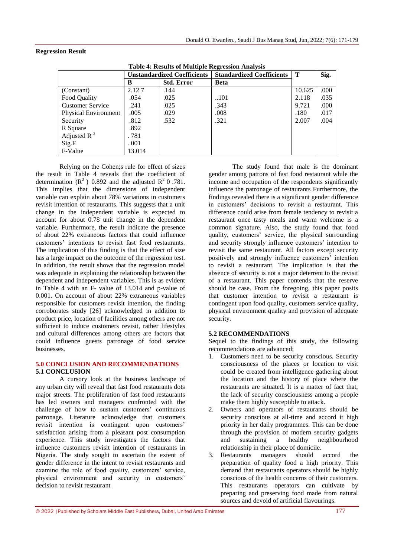## **Regression Result**

|  | <b>Table 4: Results of Multiple Regression Analysis</b> |  |
|--|---------------------------------------------------------|--|
|  |                                                         |  |

|                             | <b>Unstandardized Coefficients</b> |                   | <b>Standardized Coefficients</b> | Т      | Sig. |  |  |  |  |  |
|-----------------------------|------------------------------------|-------------------|----------------------------------|--------|------|--|--|--|--|--|
|                             | B                                  | <b>Std. Error</b> | <b>Beta</b>                      |        |      |  |  |  |  |  |
| (Constant)                  | 2.127                              | .144              |                                  | 10.625 | .000 |  |  |  |  |  |
| Food Quality                | .054                               | .025              | 101                              | 2.118  | .035 |  |  |  |  |  |
| <b>Customer Service</b>     | .241                               | .025              | .343                             | 9.721  | .000 |  |  |  |  |  |
| <b>Physical Environment</b> | .005                               | .029              | .008                             | .180   | .017 |  |  |  |  |  |
| Security                    | .812                               | .532              | .321                             | 2.007  | .004 |  |  |  |  |  |
| R Square                    | .892                               |                   |                                  |        |      |  |  |  |  |  |
| Adjusted R $^{2}$           | . 781                              |                   |                                  |        |      |  |  |  |  |  |
| Sig.F                       | .001                               |                   |                                  |        |      |  |  |  |  |  |
| F-Value                     | 13.014                             |                   |                                  |        |      |  |  |  |  |  |

Relying on the Cohen;s rule for effect of sizes the result in Table 4 reveals that the coefficient of determination  $(R^2)$  0.892 and the adjusted  $R^2$  0.781. This implies that the dimensions of independent variable can explain about 78% variations in customers revisit intention of restaurants. This suggests that a unit change in the independent variable is expected to account for about 0.78 unit change in the dependent variable. Furthermore, the result indicate the presence of about 22% extraneous factors that could influence customers" intentions to revisit fast food restaurants. The implication of this finding is that the effect of size has a large impact on the outcome of the regression test. In addition, the result shows that the regression model was adequate in explaining the relationship between the dependent and independent variables. This is as evident in Table 4 with an F- value of 13.014 and p-value of 0.001. On account of about 22% extraneous variables responsible for customers revisit intention, the finding corroborates study [26] acknowledged in addition to product price, location of facilities among others are not sufficient to induce customers revisit, rather lifestyles and cultural differences among others are factors that could influence guests patronage of food service businesses.

## **5.0 CONCLUSION AND RECOMMENDATIONS 5.1 CONCLUSION**

A cursory look at the business landscape of any urban city will reveal that fast food restaurants dots major streets. The proliferation of fast food restaurants has led owners and managers confronted with the challenge of how to sustain customers' continuous patronage. Literature acknowledge that customers revisit intention is contingent upon customers' satisfaction arising from a pleasant post consumption experience. This study investigates the factors that influence customers revisit intention of restaurants in Nigeria. The study sought to ascertain the extent of gender difference in the intent to revisit restaurants and examine the role of food quality, customers' service, physical environment and security in customers' decision to revisit restaurant

The study found that male is the dominant gender among patrons of fast food restaurant while the income and occupation of the respondents significantly influence the patronage of restaurants Furthermore, the findings revealed there is a significant gender difference in customers" decisions to revisit a restaurant. This difference could arise from female tendency to revisit a restaurant once tasty meals and warm welcome is a common signature. Also, the study found that food quality, customers' service, the physical surrounding and security strongly influence customers' intention to revisit the same restaurant. All factors except security positively and strongly influence customers' intention to revisit a restaurant. The implication is that the absence of security is not a major deterrent to the revisit of a restaurant. This paper contends that the reserve should be case. From the foregoing, this paper posits that customer intention to revisit a restaurant is contingent upon food quality, customers service quality, physical environment quality and provision of adequate security.

## **5.2 RECOMMENDATIONS**

Sequel to the findings of this study, the following recommendations are advanced;

- 1. Customers need to be security conscious. Security consciousness of the places or location to visit could be created from intelligence gathering about the location and the history of place where the restaurants are situated. It is a matter of fact that, the lack of security consciousness among a people make them highly susceptible to attack.
- 2. Owners and operators of restaurants should be security conscious at all-time and accord it high priority in her daily programmes. This can be done through the provision of modern security gadgets<br>and sustaining a healthy neighbourhood and sustaining a healthy neighbourhood relationship in their place of domicile.
- 3. Restaurants managers should accord the preparation of quality food a high priority. This demand that restaurants operators should be highly conscious of the health concerns of their customers. This restaurants operators can cultivate by preparing and preserving food made from natural sources and devoid of artificial flavourings.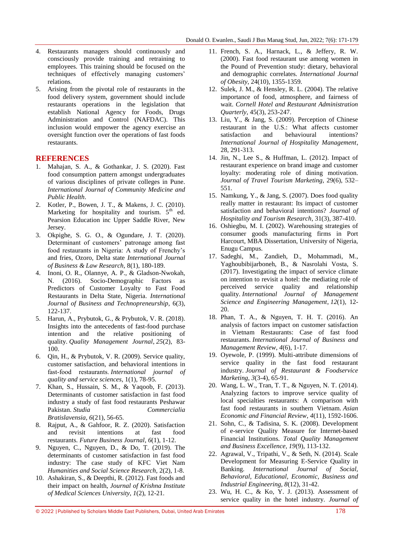- 4. Restaurants managers should continuously and consciously provide training and retraining to employees. This training should be focused on the techniques of effectively managing customers' relations.
- 5. Arising from the pivotal role of restaurants in the food delivery system, government should include restaurants operations in the legislation that establish National Agency for Foods, Drugs Administration and Control (NAFDAC). This inclusion would empower the agency exercise an oversight function over the operations of fast foods restaurants.

## **REFERENCES**

- 1. Mahajan, S. A., & Gothankar, J. S. (2020). Fast food consumption pattern amongst undergraduates of various disciplines of private colleges in Pune. *International Journal of Community Medicine and Public Health*.
- 2. Kotler, P., Bowen, J. T., & Makens, J. C. (2010). Marketing for hospitality and tourism.  $5<sup>th</sup>$  ed. Pearsion Education inc Upper Saddle River, New Jersey.
- 3. Okpighe, S. G. O., & Ogundare, J. T. (2020). Determinant of customers" patronage among fast food restaurants in Nigeria: A study of Frenchy"s and fries, Ozoro, Delta state *International Journal of Business & Law Research,* 8(1), 180-189.
- 4. Inoni, O. R., Olannye, A. P., & Gladson-Nwokah, N. (2016). Socio-Demographic Factors as Predictors of Customer Loyalty to Fast Food Restaurants in Delta State, Nigeria. *International Journal of Business and Technopreneurship*, 6(3), 122-137.
- 5. Harun, A., Prybutok, G., & Prybutok, V. R. (2018). Insights into the antecedents of fast-food purchase intention and the relative positioning of quality. *Quality Management Journal*, *25*(2), 83- 100.
- 6. Qin, H., & Prybutok, V. R. (2009). Service quality, customer satisfaction, and behavioral intentions in fast‐food restaurants. *International journal of quality and service sciences*, 1(1), 78-95.
- 7. Khan, S., Hussain, S. M., & Yaqoob, F. (2013). Determinants of customer satisfaction in fast food industry a study of fast food restaurants Peshawar Pakistan. *Studia Commercialia Bratislavensia*, *6*(21), 56-65.
- 8. Rajput, A., & Gahfoor, R. Z. (2020). Satisfaction and revisit intentions at fast food restaurants. *Future Business Journal*, *6*(1), 1-12.
- 9. Nguyen, C., Nguyen, D., & Do, T. (2019). The determinants of customer satisfaction in fast food industry: The case study of KFC Viet Nam *Humanities and Social Science Research,* 2(2), 1-8.
- 10. Ashakiran, S., & Deepthi, R. (2012). Fast foods and their impact on health, *Journal of Krishna Institute of Medical Sciences University*, *1*(2), 12-21.
- 11. French, S. A., Harnack, L., & Jeffery, R. W. (2000). Fast food restaurant use among women in the Pound of Prevention study: dietary, behavioral and demographic correlates. *International Journal of Obesity*, 24(10), 1355-1359.
- 12. Sulek, J. M., & Hensley, R. L. (2004). The relative importance of food, atmosphere, and fairness of wait. *Cornell Hotel and Restaurant Administration Quarterly*, 45(3), 253-247.
- 13. Liu, Y., & Jang, S. (2009). Perception of Chinese restaurant in the U.S.: What affects customer satisfaction and behavioural intentions? *International Journal of Hospitality Management*, 28, 291-313.
- 14. Jin, N., Lee S., & Huffman, L. (2012). Impact of restaurant experience on brand image and customer loyalty: moderating role of dining motivation. *Journal of Travel Tourism Marketing,* 29(6), 532– 551.
- 15. Namkung, Y., & Jang, S. (2007). Does food quality really matter in restaurant: Its impact of customer satisfaction and behavioral intentions? *Journal of Hospitality and Tourism Research*, 31(3), 387-410.
- 16. Oshiegbu, M. I. (2002). Warehousing strategies of consumer goods manufacturing firms in Port Harcourt, MBA Dissertation, University of Nigeria, Enugu Campus.
- 17. Sadeghi, M., Zandieh, D., Mohammadi, M., Yaghoubibijarboneh, B., & Nasrolahi Vosta, S. (2017). Investigating the impact of service climate on intention to revisit a hotel: the mediating role of perceived service quality and relationship quality. *International Journal of Management Science and Engineering Management*, *12*(1), 12- 20.
- 18. Phan, T. A., & Nguyen, T. H. T. (2016). An analysis of factors impact on customer satisfaction in Vietnam Restaurants: Case of fast food restaurants. *International Journal of Business and Management Review*, *4*(6), 1-17.
- 19. Oyewole, P. (1999). Multi-attribute dimensions of service quality in the fast food restaurant industry. *Journal of Restaurant & Foodservice Marketing*, *3*(3-4), 65-91.
- 20. Wang, L. W., Tran, T. T., & Nguyen, N. T. (2014). Analyzing factors to improve service quality of local specialties restaurants: A comparison with fast food restaurants in southern Vietnam. *Asian Economic and Financial Review*, *4*(11), 1592-1606.
- 21. Sohn, C., & Tadisina, S. K. (2008). Development of e-service Quality Measure for Internet-based Financial Institutions. *Total Quality Management and Business Excellence, 19*(9), 113-132.
- 22. Agrawal, V., Tripathi, V., & Seth, N. (2014). Scale Development for Measuring E-Service Quality in Banking. *International Journal of Social, Behavioral, Educational, Economic, Business and Industrial Engineering, 8*(12), 31-42.
- 23. Wu, H. C., & Ko, Y. J. (2013). Assessment of service quality in the hotel industry. *Journal of*

<sup>© 2022</sup> |Published by Scholars Middle East Publishers, Dubai, United Arab Emirates 178